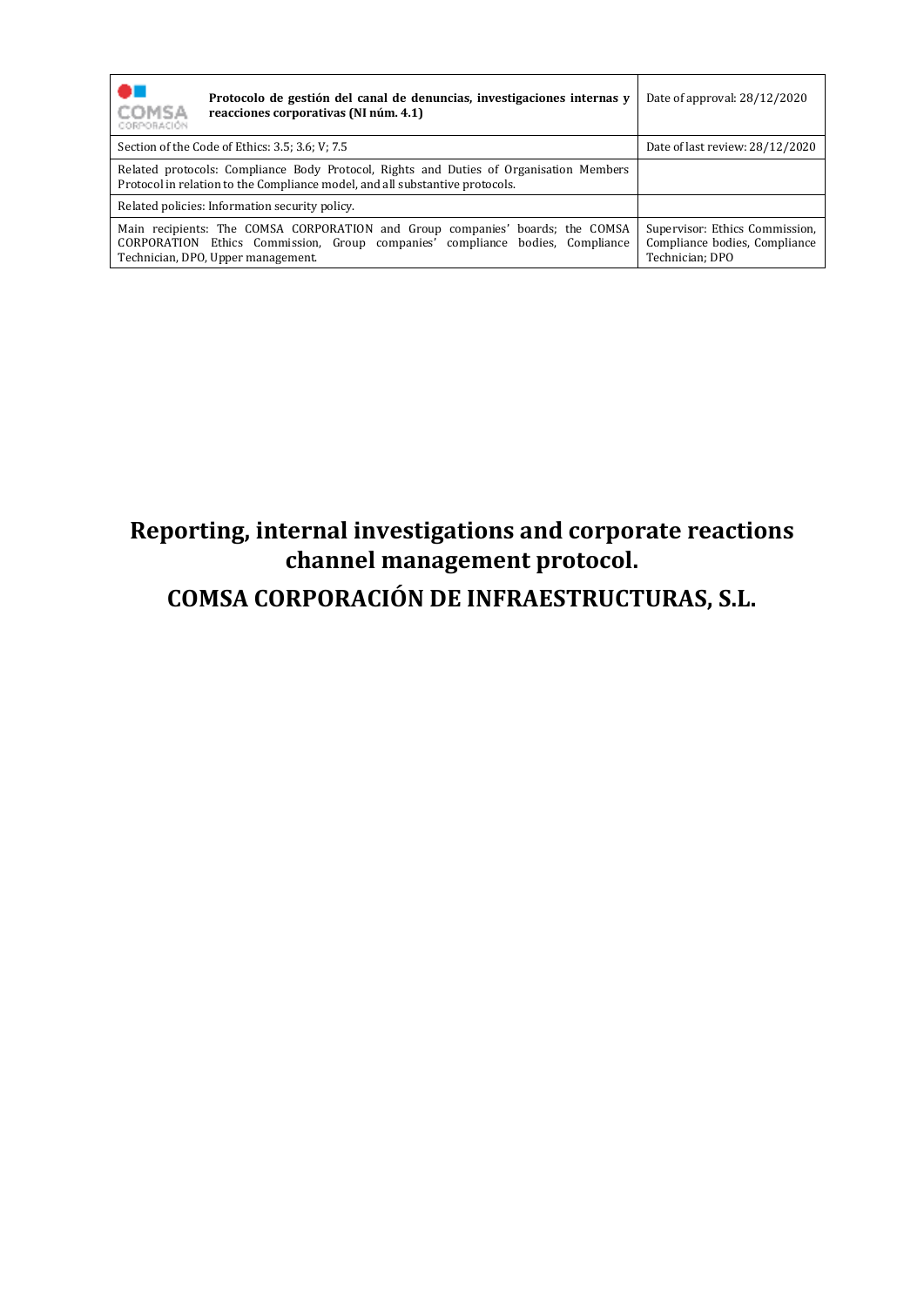| COMSA<br>CORPORACIÓN | Protocolo de gestión del canal de denuncias, investigaciones internas y<br>reacciones corporativas (NI núm. 4.1)                                                                                     | Date of approval: 28/12/2020                                                       |
|----------------------|------------------------------------------------------------------------------------------------------------------------------------------------------------------------------------------------------|------------------------------------------------------------------------------------|
|                      | Section of the Code of Ethics: 3.5; 3.6; V; 7.5                                                                                                                                                      | Date of last review: 28/12/2020                                                    |
|                      | Related protocols: Compliance Body Protocol, Rights and Duties of Organisation Members<br>Protocol in relation to the Compliance model, and all substantive protocols.                               |                                                                                    |
|                      | Related policies: Information security policy.                                                                                                                                                       |                                                                                    |
|                      | Main recipients: The COMSA CORPORATION and Group companies' boards; the COMSA<br>CORPORATION Ethics Commission, Group companies' compliance bodies, Compliance<br>Technician, DPO, Upper management. | Supervisor: Ethics Commission,<br>Compliance bodies, Compliance<br>Technician; DPO |

# **Reporting, internal investigations and corporate reactions channel management protocol.**

# **COMSA CORPORACIÓN DE INFRAESTRUCTURAS, S.L.**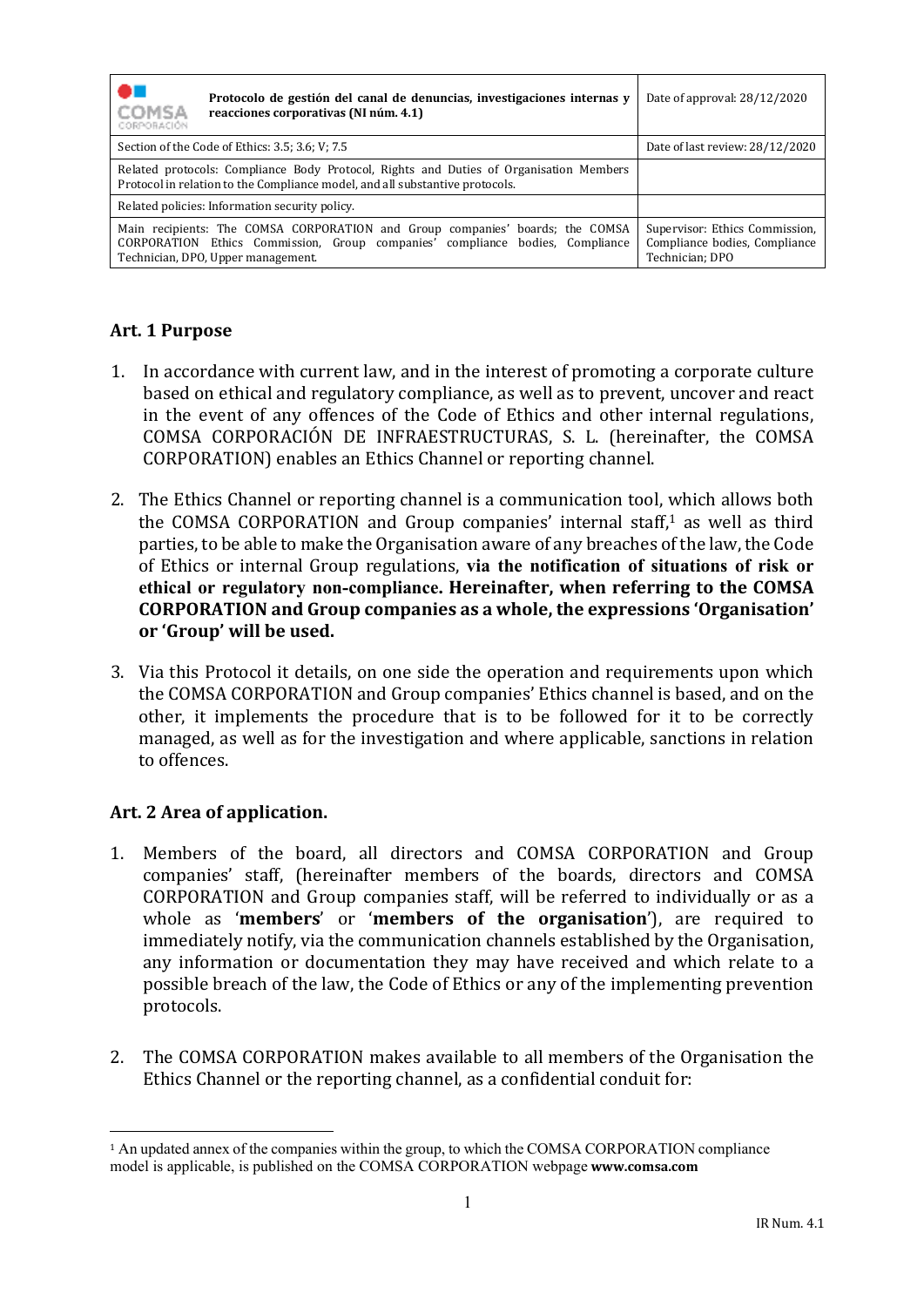| Protocolo de gestión del canal de denuncias, investigaciones internas y<br>COMSA<br>reacciones corporativas (NI núm. 4.1)<br>CORPORACIÓN                                                             | Date of approval: $28/12/2020$                                                     |
|------------------------------------------------------------------------------------------------------------------------------------------------------------------------------------------------------|------------------------------------------------------------------------------------|
| Section of the Code of Ethics: 3.5; 3.6; V; 7.5                                                                                                                                                      | Date of last review: 28/12/2020                                                    |
| Related protocols: Compliance Body Protocol, Rights and Duties of Organisation Members<br>Protocol in relation to the Compliance model, and all substantive protocols.                               |                                                                                    |
| Related policies: Information security policy.                                                                                                                                                       |                                                                                    |
| Main recipients: The COMSA CORPORATION and Group companies' boards; the COMSA<br>CORPORATION Ethics Commission, Group companies' compliance bodies, Compliance<br>Technician, DPO, Upper management. | Supervisor: Ethics Commission.<br>Compliance bodies, Compliance<br>Technician; DPO |

# **Art. 1 Purpose**

- 1. In accordance with current law, and in the interest of promoting a corporate culture based on ethical and regulatory compliance, as well as to prevent, uncover and react in the event of any offences of the Code of Ethics and other internal regulations, COMSA CORPORACIÓN DE INFRAESTRUCTURAS, S. L. (hereinafter, the COMSA CORPORATION) enables an Ethics Channel or reporting channel.
- 2. The Ethics Channel or reporting channel is a communication tool, which allows both the COMSA CORPORATION and Group companies' internal staff, $1$  as well as third parties, to be able to make the Organisation aware of any breaches of the law, the Code of Ethics or internal Group regulations, **via the notification of situations of risk or ethical or regulatory non-compliance. Hereinafter, when referring to the COMSA CORPORATION and Group companies as a whole, the expressions 'Organisation' or 'Group' will be used.**
- 3. Via this Protocol it details, on one side the operation and requirements upon which the COMSA CORPORATION and Group companies' Ethics channel is based, and on the other, it implements the procedure that is to be followed for it to be correctly managed, as well as for the investigation and where applicable, sanctions in relation to offences.

#### **Art. 2 Area of application.**

- 1. Members of the board, all directors and COMSA CORPORATION and Group companies' staff, (hereinafter members of the boards, directors and COMSA CORPORATION and Group companies staff, will be referred to individually or as a whole as '**members**' or '**members of the organisation**'), are required to immediately notify, via the communication channels established by the Organisation, any information or documentation they may have received and which relate to a possible breach of the law, the Code of Ethics or any of the implementing prevention protocols.
- 2. The COMSA CORPORATION makes available to all members of the Organisation the Ethics Channel or the reporting channel, as a confidential conduit for:

<sup>1</sup> An updated annex of the companies within the group, to which the COMSA CORPORATION compliance model is applicable, is published on the COMSA CORPORATION webpage **www.comsa.com**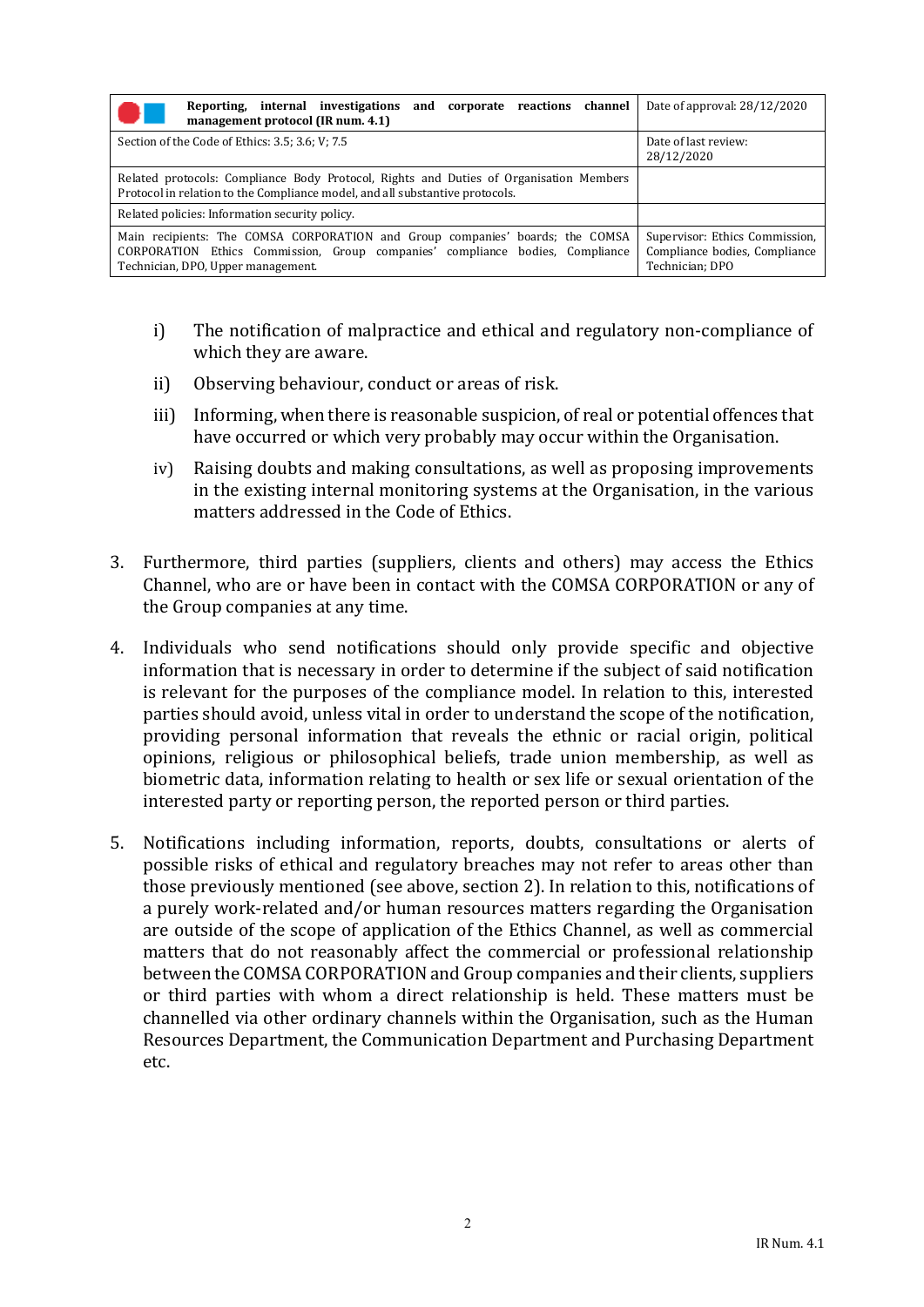| Reporting, internal investigations and corporate reactions channel<br>management protocol (IR num. 4.1)                                                                                              | Date of approval: 28/12/2020                                                       |
|------------------------------------------------------------------------------------------------------------------------------------------------------------------------------------------------------|------------------------------------------------------------------------------------|
| Section of the Code of Ethics: 3.5; 3.6; V; 7.5                                                                                                                                                      | Date of last review:<br>28/12/2020                                                 |
| Related protocols: Compliance Body Protocol, Rights and Duties of Organisation Members<br>Protocol in relation to the Compliance model, and all substantive protocols.                               |                                                                                    |
| Related policies: Information security policy.                                                                                                                                                       |                                                                                    |
| Main recipients: The COMSA CORPORATION and Group companies' boards; the COMSA<br>CORPORATION Ethics Commission, Group companies' compliance bodies, Compliance<br>Technician, DPO, Upper management. | Supervisor: Ethics Commission,<br>Compliance bodies, Compliance<br>Technician; DPO |

- i) The notification of malpractice and ethical and regulatory non-compliance of which they are aware.
- ii) Observing behaviour, conduct or areas of risk.
- iii) Informing, when there is reasonable suspicion, of real or potential offences that have occurred or which very probably may occur within the Organisation.
- iv) Raising doubts and making consultations, as well as proposing improvements in the existing internal monitoring systems at the Organisation, in the various matters addressed in the Code of Ethics.
- 3. Furthermore, third parties (suppliers, clients and others) may access the Ethics Channel, who are or have been in contact with the COMSA CORPORATION or any of the Group companies at any time.
- 4. Individuals who send notifications should only provide specific and objective information that is necessary in order to determine if the subject of said notification is relevant for the purposes of the compliance model. In relation to this, interested parties should avoid, unless vital in order to understand the scope of the notification, providing personal information that reveals the ethnic or racial origin, political opinions, religious or philosophical beliefs, trade union membership, as well as biometric data, information relating to health or sex life or sexual orientation of the interested party or reporting person, the reported person or third parties.
- 5. Notifications including information, reports, doubts, consultations or alerts of possible risks of ethical and regulatory breaches may not refer to areas other than those previously mentioned (see above, section 2). In relation to this, notifications of a purely work-related and/or human resources matters regarding the Organisation are outside of the scope of application of the Ethics Channel, as well as commercial matters that do not reasonably affect the commercial or professional relationship between the COMSA CORPORATION and Group companies and their clients, suppliers or third parties with whom a direct relationship is held. These matters must be channelled via other ordinary channels within the Organisation, such as the Human Resources Department, the Communication Department and Purchasing Department etc.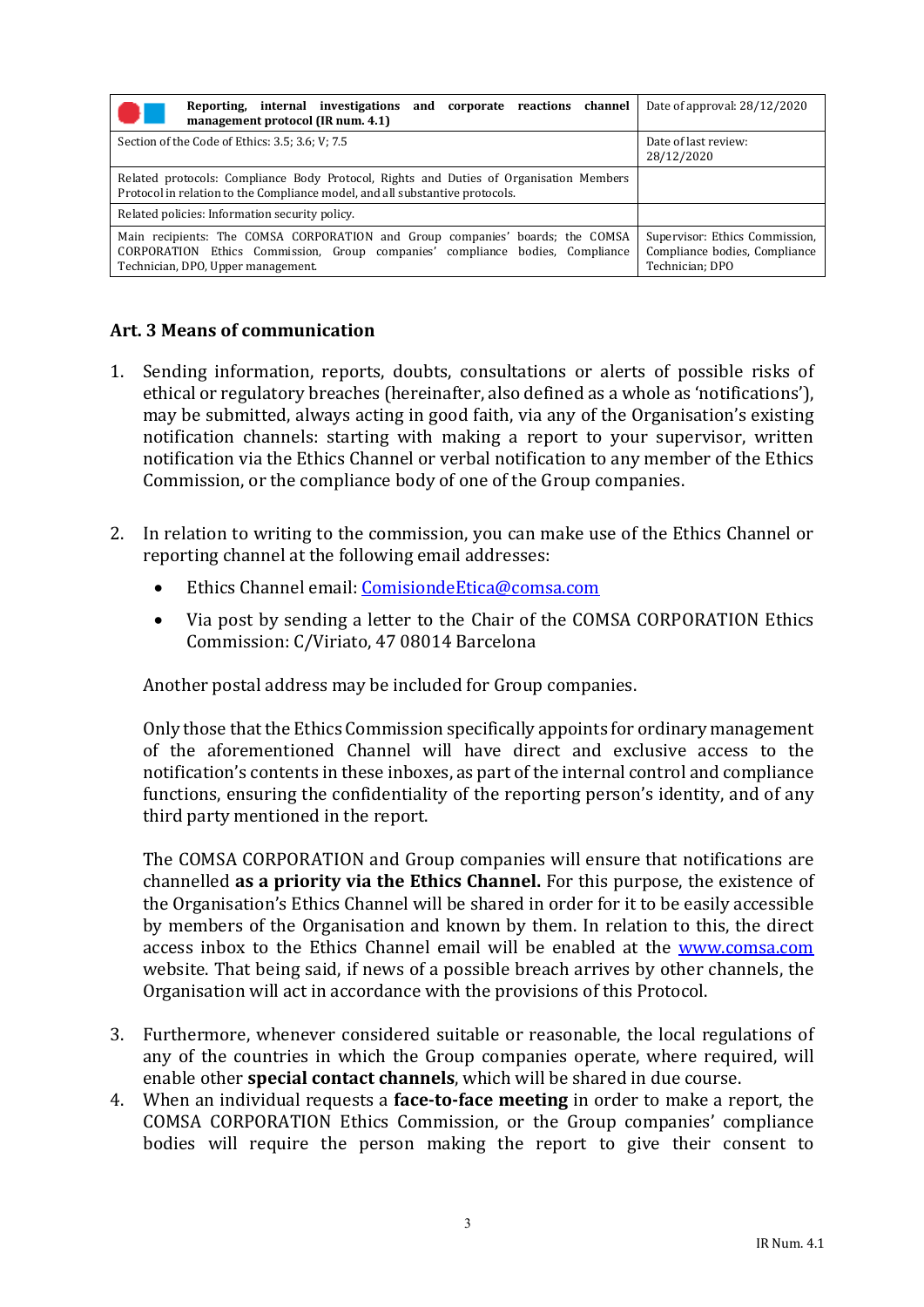| Reporting, internal investigations and corporate reactions channel<br>management protocol (IR num. 4.1)                                                                                              | Date of approval: 28/12/2020                                                       |
|------------------------------------------------------------------------------------------------------------------------------------------------------------------------------------------------------|------------------------------------------------------------------------------------|
| Section of the Code of Ethics: 3.5; 3.6; V; 7.5                                                                                                                                                      | Date of last review:<br>28/12/2020                                                 |
| Related protocols: Compliance Body Protocol, Rights and Duties of Organisation Members<br>Protocol in relation to the Compliance model, and all substantive protocols.                               |                                                                                    |
| Related policies: Information security policy.                                                                                                                                                       |                                                                                    |
| Main recipients: The COMSA CORPORATION and Group companies' boards; the COMSA<br>CORPORATION Ethics Commission, Group companies' compliance bodies, Compliance<br>Technician, DPO, Upper management. | Supervisor: Ethics Commission.<br>Compliance bodies, Compliance<br>Technician; DPO |

#### **Art. 3 Means of communication**

- 1. Sending information, reports, doubts, consultations or alerts of possible risks of ethical or regulatory breaches (hereinafter, also defined as a whole as 'notifications'), may be submitted, always acting in good faith, via any of the Organisation's existing notification channels: starting with making a report to your supervisor, written notification via the Ethics Channel or verbal notification to any member of the Ethics Commission, or the compliance body of one of the Group companies.
- 2. In relation to writing to the commission, you can make use of the Ethics Channel or reporting channel at the following email addresses:
	- Ethics Channel email: ComisiondeEtica@comsa.com
	- Via post by sending a letter to the Chair of the COMSA CORPORATION Ethics Commission: C/Viriato, 47 08014 Barcelona

Another postal address may be included for Group companies.

Only those that the Ethics Commission specifically appoints for ordinary management of the aforementioned Channel will have direct and exclusive access to the notification's contents in these inboxes, as part of the internal control and compliance functions, ensuring the confidentiality of the reporting person's identity, and of any third party mentioned in the report.

The COMSA CORPORATION and Group companies will ensure that notifications are channelled **as a priority via the Ethics Channel.** For this purpose, the existence of the Organisation's Ethics Channel will be shared in order for it to be easily accessible by members of the Organisation and known by them. In relation to this, the direct access inbox to the Ethics Channel email will be enabled at the www.comsa.com website. That being said, if news of a possible breach arrives by other channels, the Organisation will act in accordance with the provisions of this Protocol.

- 3. Furthermore, whenever considered suitable or reasonable, the local regulations of any of the countries in which the Group companies operate, where required, will enable other **special contact channels**, which will be shared in due course.
- 4. When an individual requests a **face-to-face meeting** in order to make a report, the COMSA CORPORATION Ethics Commission, or the Group companies' compliance bodies will require the person making the report to give their consent to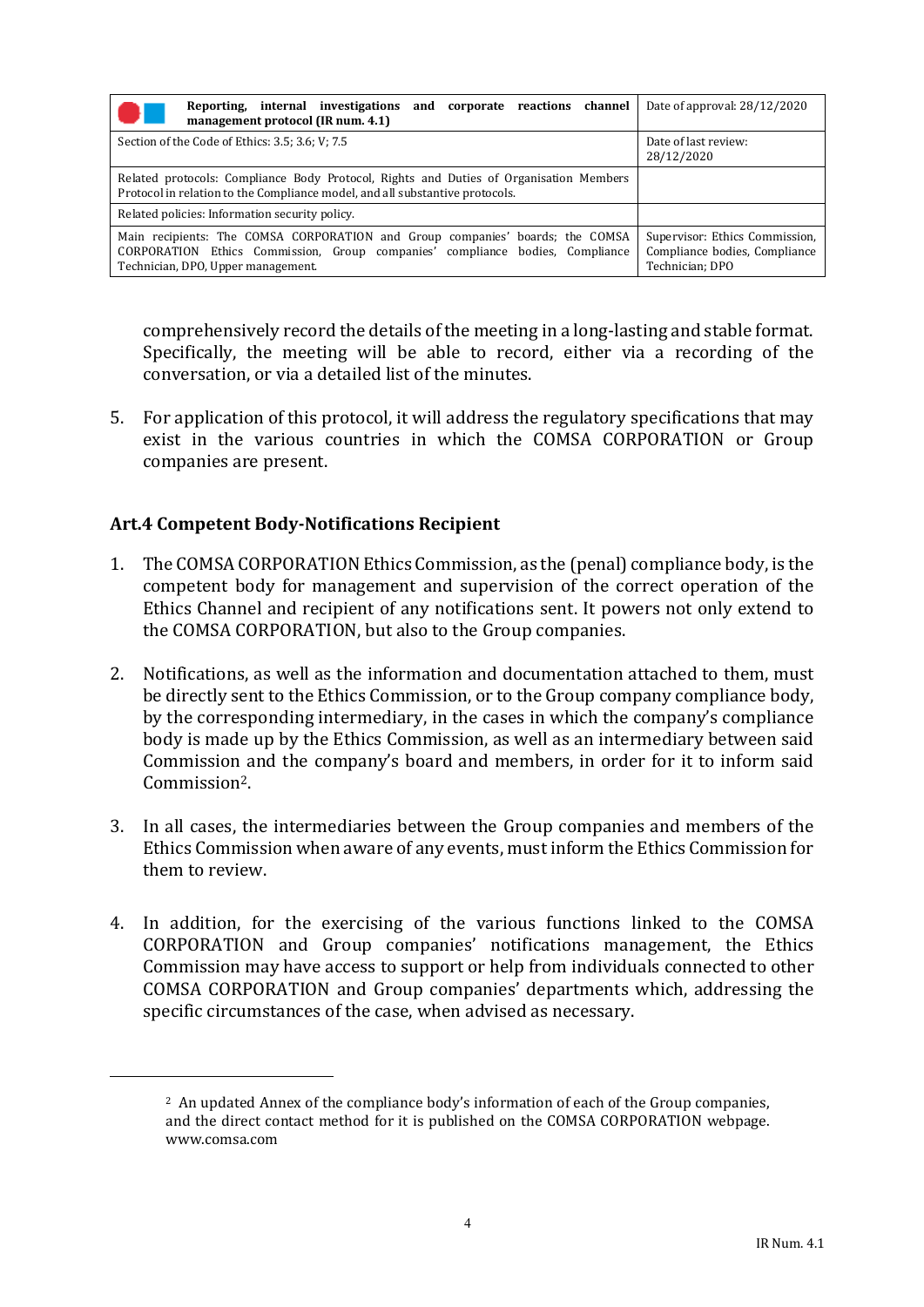| and corporate reactions channel<br>Reporting, internal investigations<br>management protocol (IR num. 4.1)                                                                                           | Date of approval: 28/12/2020                                                       |
|------------------------------------------------------------------------------------------------------------------------------------------------------------------------------------------------------|------------------------------------------------------------------------------------|
| Section of the Code of Ethics: 3.5; 3.6; V; 7.5                                                                                                                                                      | Date of last review:<br>28/12/2020                                                 |
| Related protocols: Compliance Body Protocol, Rights and Duties of Organisation Members<br>Protocol in relation to the Compliance model, and all substantive protocols.                               |                                                                                    |
| Related policies: Information security policy.                                                                                                                                                       |                                                                                    |
| Main recipients: The COMSA CORPORATION and Group companies' boards; the COMSA<br>CORPORATION Ethics Commission, Group companies' compliance bodies, Compliance<br>Technician, DPO, Upper management. | Supervisor: Ethics Commission,<br>Compliance bodies, Compliance<br>Technician; DPO |

comprehensively record the details of the meeting in a long-lasting and stable format. Specifically, the meeting will be able to record, either via a recording of the conversation, or via a detailed list of the minutes.

5. For application of this protocol, it will address the regulatory specifications that may exist in the various countries in which the COMSA CORPORATION or Group companies are present.

#### **Art.4 Competent Body-Notifications Recipient**

- 1. The COMSA CORPORATION Ethics Commission, as the (penal) compliance body, is the competent body for management and supervision of the correct operation of the Ethics Channel and recipient of any notifications sent. It powers not only extend to the COMSA CORPORATION, but also to the Group companies.
- 2. Notifications, as well as the information and documentation attached to them, must be directly sent to the Ethics Commission, or to the Group company compliance body, by the corresponding intermediary, in the cases in which the company's compliance body is made up by the Ethics Commission, as well as an intermediary between said Commission and the company's board and members, in order for it to inform said Commission2.
- 3. In all cases, the intermediaries between the Group companies and members of the Ethics Commission when aware of any events, must inform the Ethics Commission for them to review.
- 4. In addition, for the exercising of the various functions linked to the COMSA CORPORATION and Group companies' notifications management, the Ethics Commission may have access to support or help from individuals connected to other COMSA CORPORATION and Group companies' departments which, addressing the specific circumstances of the case, when advised as necessary.

<sup>&</sup>lt;sup>2</sup> An updated Annex of the compliance body's information of each of the Group companies, and the direct contact method for it is published on the COMSA CORPORATION webpage. www.comsa.com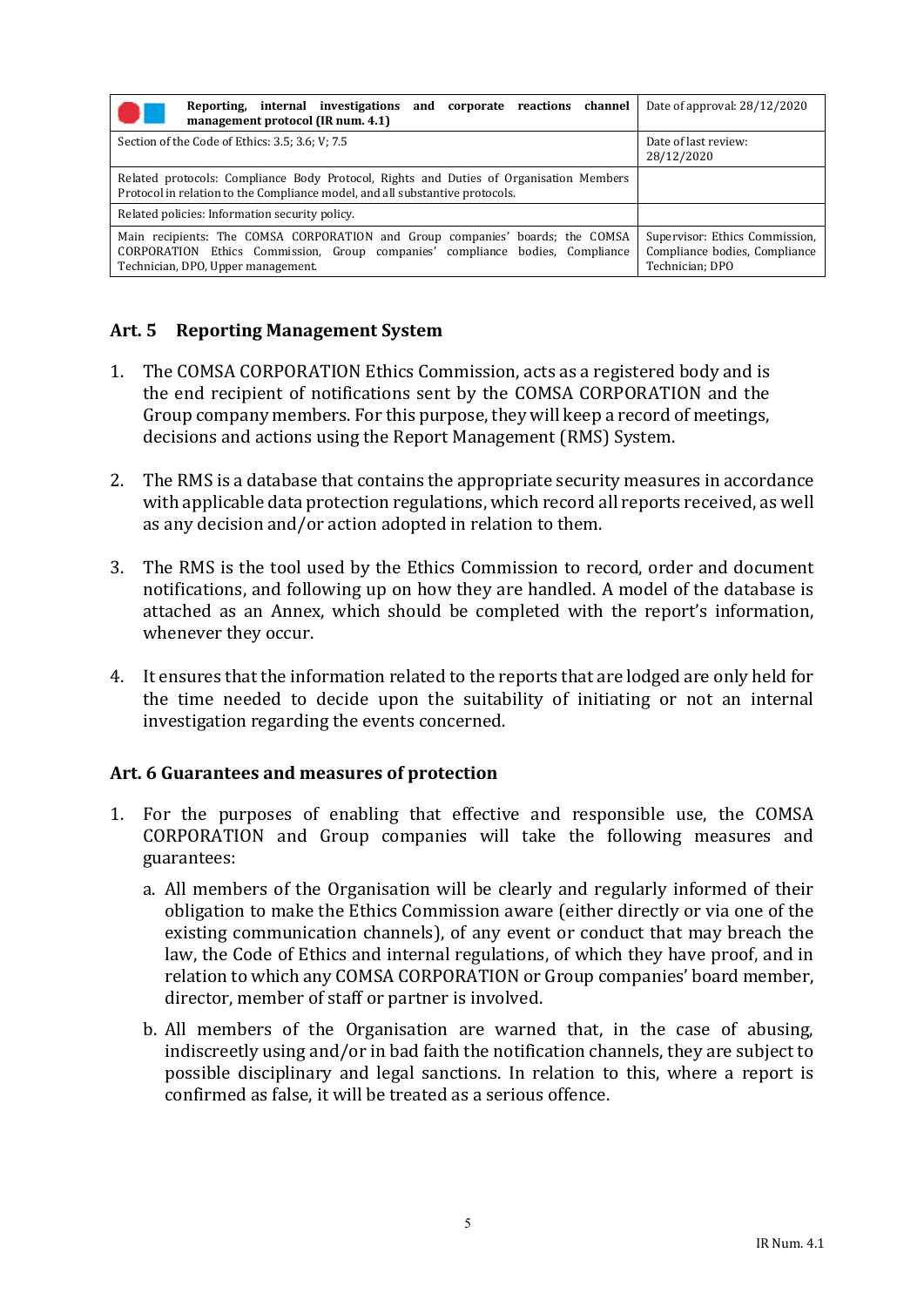| Reporting, internal investigations<br>and corporate reactions channel<br>management protocol (IR num. 4.1)                                                                                           | Date of approval: $28/12/2020$                                                     |
|------------------------------------------------------------------------------------------------------------------------------------------------------------------------------------------------------|------------------------------------------------------------------------------------|
| Section of the Code of Ethics: 3.5; 3.6; V; 7.5                                                                                                                                                      | Date of last review:<br>28/12/2020                                                 |
| Related protocols: Compliance Body Protocol, Rights and Duties of Organisation Members<br>Protocol in relation to the Compliance model, and all substantive protocols.                               |                                                                                    |
| Related policies: Information security policy.                                                                                                                                                       |                                                                                    |
| Main recipients: The COMSA CORPORATION and Group companies' boards; the COMSA<br>CORPORATION Ethics Commission, Group companies' compliance bodies, Compliance<br>Technician, DPO, Upper management. | Supervisor: Ethics Commission,<br>Compliance bodies, Compliance<br>Technician; DPO |

## **Art. 5 Reporting Management System**

- 1. The COMSA CORPORATION Ethics Commission, acts as a registered body and is the end recipient of notifications sent by the COMSA CORPORATION and the Group company members. For this purpose, they will keep a record of meetings, decisions and actions using the Report Management (RMS) System.
- 2. The RMS is a database that contains the appropriate security measures in accordance with applicable data protection regulations, which record all reports received, as well as any decision and/or action adopted in relation to them.
- 3. The RMS is the tool used by the Ethics Commission to record, order and document notifications, and following up on how they are handled. A model of the database is attached as an Annex, which should be completed with the report's information, whenever they occur.
- 4. It ensures that the information related to the reports that are lodged are only held for the time needed to decide upon the suitability of initiating or not an internal investigation regarding the events concerned.

#### **Art. 6 Guarantees and measures of protection**

- 1. For the purposes of enabling that effective and responsible use, the COMSA CORPORATION and Group companies will take the following measures and guarantees:
	- a. All members of the Organisation will be clearly and regularly informed of their obligation to make the Ethics Commission aware (either directly or via one of the existing communication channels), of any event or conduct that may breach the law, the Code of Ethics and internal regulations, of which they have proof, and in relation to which any COMSA CORPORATION or Group companies' board member, director, member of staff or partner is involved.
	- b. All members of the Organisation are warned that, in the case of abusing, indiscreetly using and/or in bad faith the notification channels, they are subject to possible disciplinary and legal sanctions. In relation to this, where a report is confirmed as false, it will be treated as a serious offence.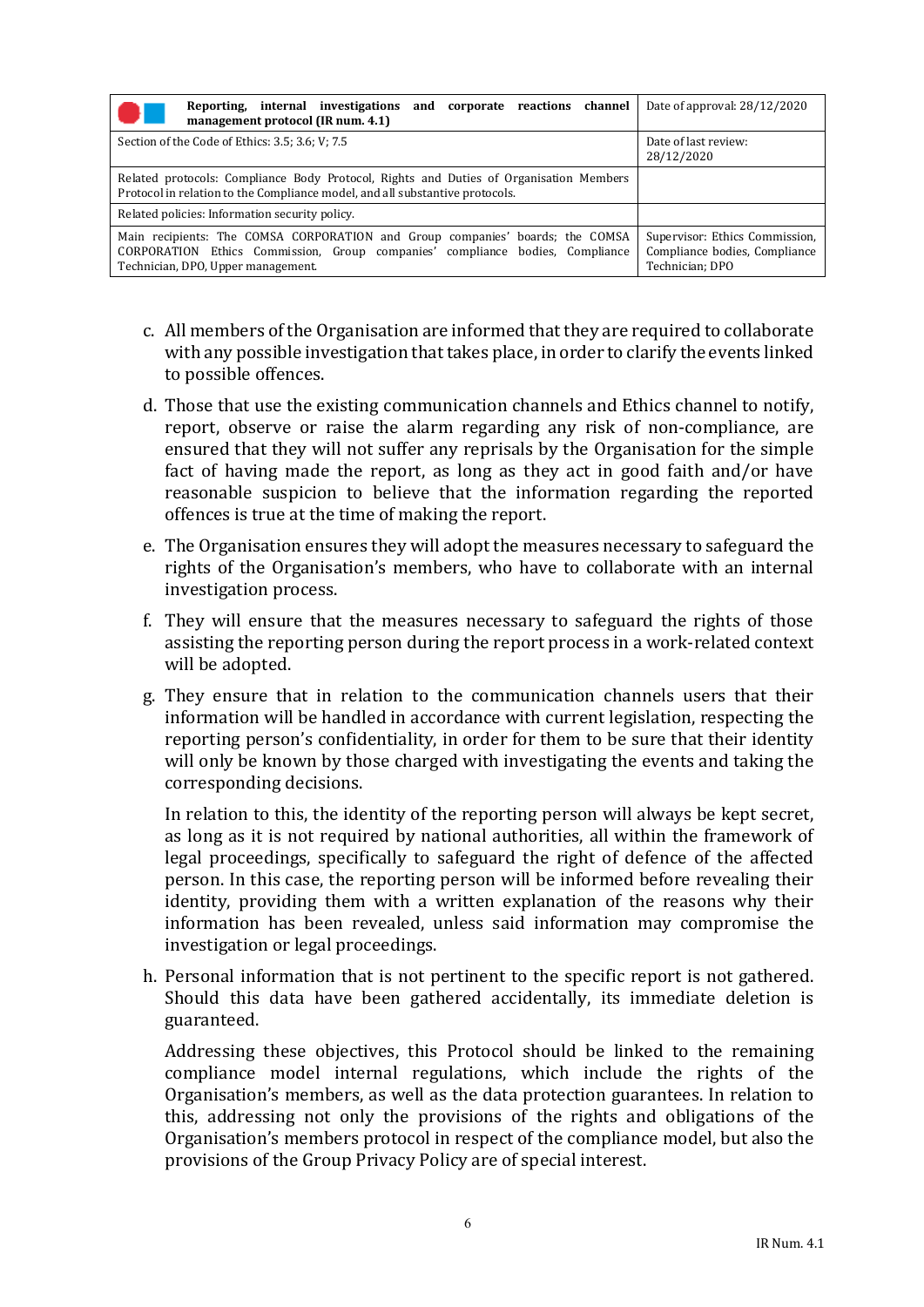| and corporate reactions channel<br>Reporting, internal investigations<br>management protocol (IR num. 4.1)                                                                                           | Date of approval: 28/12/2020                                                       |
|------------------------------------------------------------------------------------------------------------------------------------------------------------------------------------------------------|------------------------------------------------------------------------------------|
| Section of the Code of Ethics: 3.5; 3.6; V; 7.5                                                                                                                                                      | Date of last review:<br>28/12/2020                                                 |
| Related protocols: Compliance Body Protocol, Rights and Duties of Organisation Members<br>Protocol in relation to the Compliance model, and all substantive protocols.                               |                                                                                    |
| Related policies: Information security policy.                                                                                                                                                       |                                                                                    |
| Main recipients: The COMSA CORPORATION and Group companies' boards; the COMSA<br>CORPORATION Ethics Commission, Group companies' compliance bodies, Compliance<br>Technician, DPO, Upper management. | Supervisor: Ethics Commission,<br>Compliance bodies, Compliance<br>Technician; DPO |

- c. All members of the Organisation are informed that they are required to collaborate with any possible investigation that takes place, in order to clarify the events linked to possible offences.
- d. Those that use the existing communication channels and Ethics channel to notify, report, observe or raise the alarm regarding any risk of non-compliance, are ensured that they will not suffer any reprisals by the Organisation for the simple fact of having made the report, as long as they act in good faith and/or have reasonable suspicion to believe that the information regarding the reported offences is true at the time of making the report.
- e. The Organisation ensures they will adopt the measures necessary to safeguard the rights of the Organisation's members, who have to collaborate with an internal investigation process.
- f. They will ensure that the measures necessary to safeguard the rights of those assisting the reporting person during the report process in a work-related context will be adopted.
- g. They ensure that in relation to the communication channels users that their information will be handled in accordance with current legislation, respecting the reporting person's confidentiality, in order for them to be sure that their identity will only be known by those charged with investigating the events and taking the corresponding decisions.

In relation to this, the identity of the reporting person will always be kept secret, as long as it is not required by national authorities, all within the framework of legal proceedings, specifically to safeguard the right of defence of the affected person. In this case, the reporting person will be informed before revealing their identity, providing them with a written explanation of the reasons why their information has been revealed, unless said information may compromise the investigation or legal proceedings.

h. Personal information that is not pertinent to the specific report is not gathered. Should this data have been gathered accidentally, its immediate deletion is guaranteed.

Addressing these objectives, this Protocol should be linked to the remaining compliance model internal regulations, which include the rights of the Organisation's members, as well as the data protection guarantees. In relation to this, addressing not only the provisions of the rights and obligations of the Organisation's members protocol in respect of the compliance model, but also the provisions of the Group Privacy Policy are of special interest.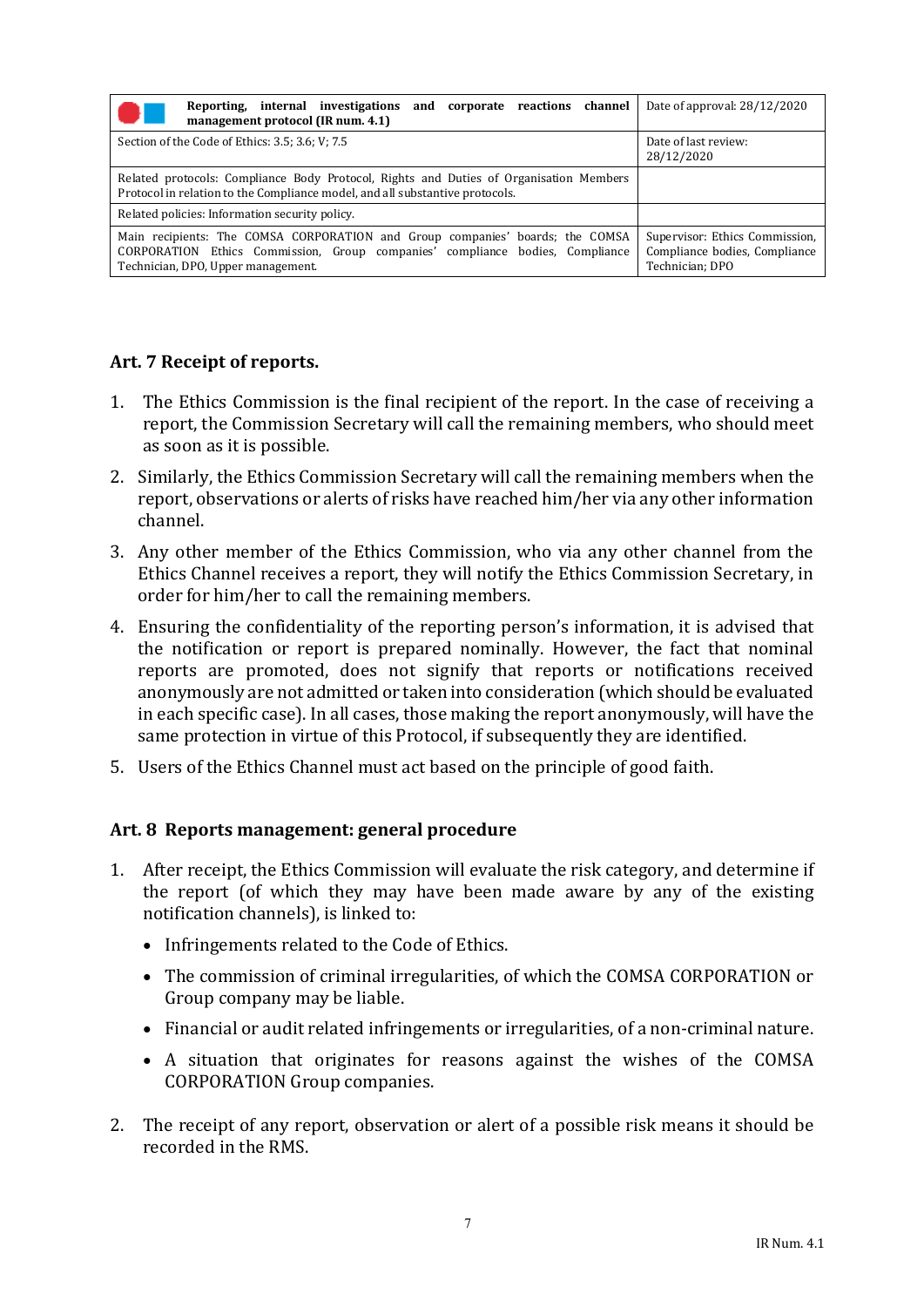| Reporting, internal investigations and corporate reactions channel<br>management protocol (IR num. 4.1)                                                                                              | Date of approval: 28/12/2020                                                       |
|------------------------------------------------------------------------------------------------------------------------------------------------------------------------------------------------------|------------------------------------------------------------------------------------|
| Section of the Code of Ethics: 3.5; 3.6; V; 7.5                                                                                                                                                      | Date of last review:<br>28/12/2020                                                 |
| Related protocols: Compliance Body Protocol, Rights and Duties of Organisation Members<br>Protocol in relation to the Compliance model, and all substantive protocols.                               |                                                                                    |
| Related policies: Information security policy.                                                                                                                                                       |                                                                                    |
| Main recipients: The COMSA CORPORATION and Group companies' boards; the COMSA<br>CORPORATION Ethics Commission, Group companies' compliance bodies, Compliance<br>Technician, DPO, Upper management. | Supervisor: Ethics Commission,<br>Compliance bodies, Compliance<br>Technician; DPO |

## **Art. 7 Receipt of reports.**

- 1. The Ethics Commission is the final recipient of the report. In the case of receiving a report, the Commission Secretary will call the remaining members, who should meet as soon as it is possible.
- 2. Similarly, the Ethics Commission Secretary will call the remaining members when the report, observations or alerts of risks have reached him/her via any other information channel.
- 3. Any other member of the Ethics Commission, who via any other channel from the Ethics Channel receives a report, they will notify the Ethics Commission Secretary, in order for him/her to call the remaining members.
- 4. Ensuring the confidentiality of the reporting person's information, it is advised that the notification or report is prepared nominally. However, the fact that nominal reports are promoted, does not signify that reports or notifications received anonymously are not admitted or taken into consideration (which should be evaluated in each specific case). In all cases, those making the report anonymously, will have the same protection in virtue of this Protocol, if subsequently they are identified.
- 5. Users of the Ethics Channel must act based on the principle of good faith.

#### **Art. 8 Reports management: general procedure**

- 1. After receipt, the Ethics Commission will evaluate the risk category, and determine if the report (of which they may have been made aware by any of the existing notification channels), is linked to:
	- Infringements related to the Code of Ethics.
	- The commission of criminal irregularities, of which the COMSA CORPORATION or Group company may be liable.
	- Financial or audit related infringements or irregularities, of a non-criminal nature.
	- A situation that originates for reasons against the wishes of the COMSA CORPORATION Group companies.
- 2. The receipt of any report, observation or alert of a possible risk means it should be recorded in the RMS.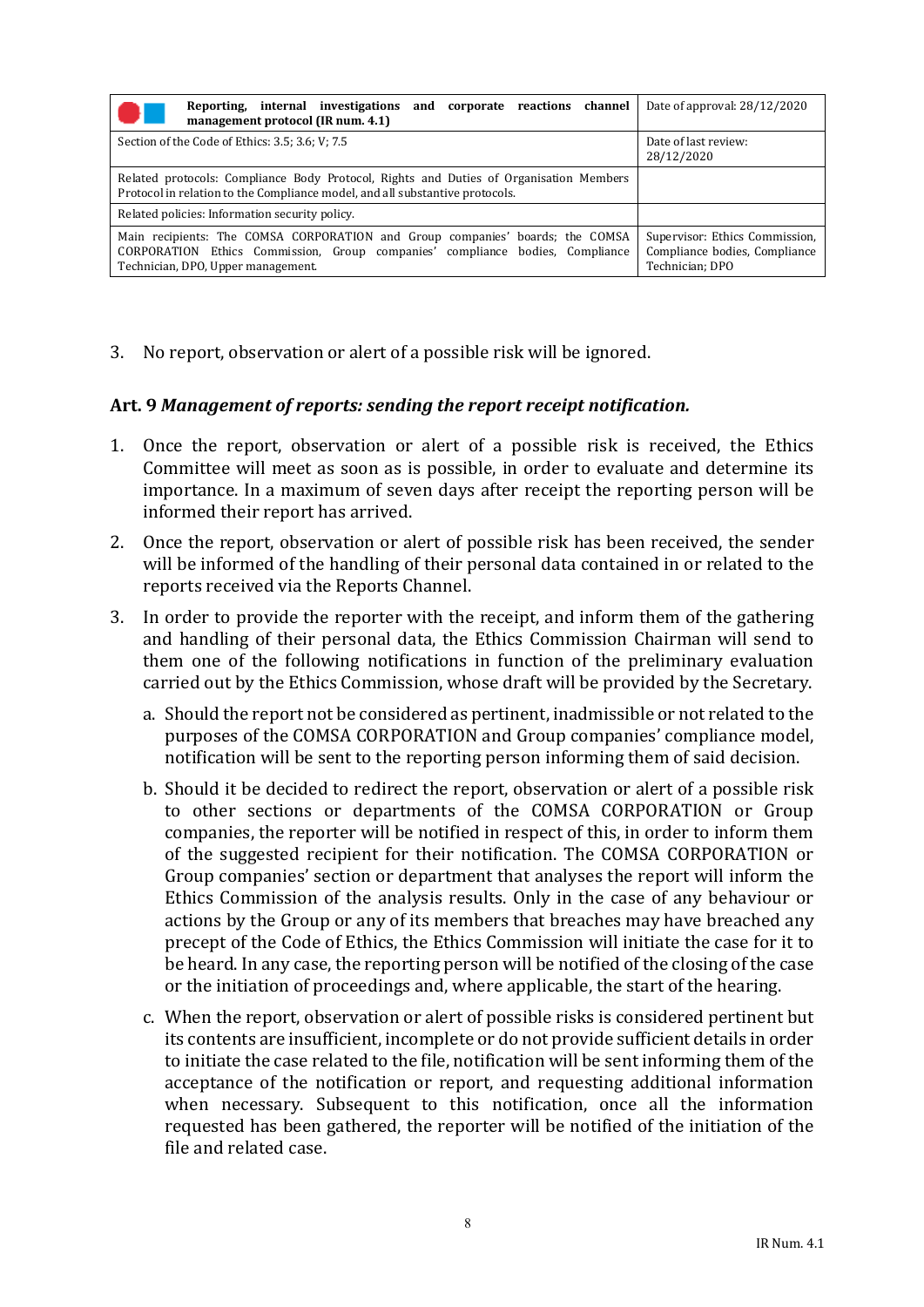| Reporting, internal investigations and corporate reactions channel<br>management protocol (IR num. 4.1)                                                                                              | Date of approval: 28/12/2020                                                       |
|------------------------------------------------------------------------------------------------------------------------------------------------------------------------------------------------------|------------------------------------------------------------------------------------|
| Section of the Code of Ethics: 3.5; 3.6; V; 7.5                                                                                                                                                      | Date of last review:<br>28/12/2020                                                 |
| Related protocols: Compliance Body Protocol, Rights and Duties of Organisation Members<br>Protocol in relation to the Compliance model, and all substantive protocols.                               |                                                                                    |
| Related policies: Information security policy.                                                                                                                                                       |                                                                                    |
| Main recipients: The COMSA CORPORATION and Group companies' boards; the COMSA<br>CORPORATION Ethics Commission, Group companies' compliance bodies, Compliance<br>Technician, DPO, Upper management. | Supervisor: Ethics Commission,<br>Compliance bodies, Compliance<br>Technician; DPO |

3. No report, observation or alert of a possible risk will be ignored.

#### **Art. 9** *Management of reports: sending the report receipt notification.*

- 1. Once the report, observation or alert of a possible risk is received, the Ethics Committee will meet as soon as is possible, in order to evaluate and determine its importance. In a maximum of seven days after receipt the reporting person will be informed their report has arrived.
- 2. Once the report, observation or alert of possible risk has been received, the sender will be informed of the handling of their personal data contained in or related to the reports received via the Reports Channel.
- 3. In order to provide the reporter with the receipt, and inform them of the gathering and handling of their personal data, the Ethics Commission Chairman will send to them one of the following notifications in function of the preliminary evaluation carried out by the Ethics Commission, whose draft will be provided by the Secretary.
	- a. Should the report not be considered as pertinent, inadmissible or not related to the purposes of the COMSA CORPORATION and Group companies' compliance model, notification will be sent to the reporting person informing them of said decision.
	- b. Should it be decided to redirect the report, observation or alert of a possible risk to other sections or departments of the COMSA CORPORATION or Group companies, the reporter will be notified in respect of this, in order to inform them of the suggested recipient for their notification. The COMSA CORPORATION or Group companies' section or department that analyses the report will inform the Ethics Commission of the analysis results. Only in the case of any behaviour or actions by the Group or any of its members that breaches may have breached any precept of the Code of Ethics, the Ethics Commission will initiate the case for it to be heard. In any case, the reporting person will be notified of the closing of the case or the initiation of proceedings and, where applicable, the start of the hearing.
	- c. When the report, observation or alert of possible risks is considered pertinent but its contents are insufficient, incomplete or do not provide sufficient details in order to initiate the case related to the file, notification will be sent informing them of the acceptance of the notification or report, and requesting additional information when necessary. Subsequent to this notification, once all the information requested has been gathered, the reporter will be notified of the initiation of the file and related case.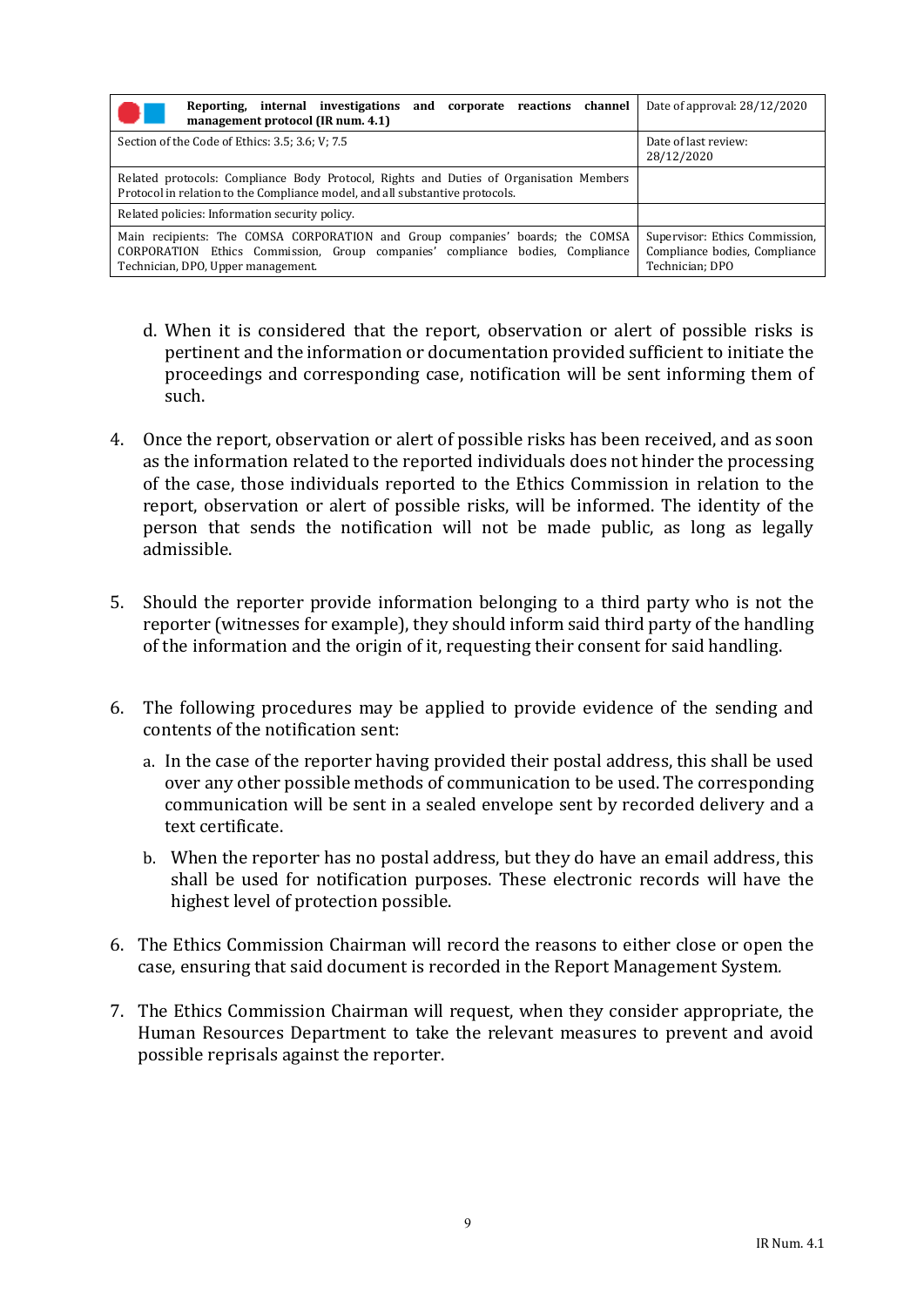| Reporting, internal investigations and corporate reactions channel<br>management protocol (IR num. 4.1)                                                                                              | Date of approval: 28/12/2020                                                       |
|------------------------------------------------------------------------------------------------------------------------------------------------------------------------------------------------------|------------------------------------------------------------------------------------|
| Section of the Code of Ethics: 3.5; 3.6; V; 7.5                                                                                                                                                      | Date of last review:<br>28/12/2020                                                 |
| Related protocols: Compliance Body Protocol, Rights and Duties of Organisation Members<br>Protocol in relation to the Compliance model, and all substantive protocols.                               |                                                                                    |
| Related policies: Information security policy.                                                                                                                                                       |                                                                                    |
| Main recipients: The COMSA CORPORATION and Group companies' boards; the COMSA<br>CORPORATION Ethics Commission, Group companies' compliance bodies, Compliance<br>Technician, DPO, Upper management. | Supervisor: Ethics Commission.<br>Compliance bodies, Compliance<br>Technician; DPO |

- d. When it is considered that the report, observation or alert of possible risks is pertinent and the information or documentation provided sufficient to initiate the proceedings and corresponding case, notification will be sent informing them of such.
- 4. Once the report, observation or alert of possible risks has been received, and as soon as the information related to the reported individuals does not hinder the processing of the case, those individuals reported to the Ethics Commission in relation to the report, observation or alert of possible risks, will be informed. The identity of the person that sends the notification will not be made public, as long as legally admissible.
- 5. Should the reporter provide information belonging to a third party who is not the reporter (witnesses for example), they should inform said third party of the handling of the information and the origin of it, requesting their consent for said handling.
- 6. The following procedures may be applied to provide evidence of the sending and contents of the notification sent:
	- a. In the case of the reporter having provided their postal address, this shall be used over any other possible methods of communication to be used. The corresponding communication will be sent in a sealed envelope sent by recorded delivery and a text certificate.
	- b. When the reporter has no postal address, but they do have an email address, this shall be used for notification purposes. These electronic records will have the highest level of protection possible.
- 6. The Ethics Commission Chairman will record the reasons to either close or open the case, ensuring that said document is recorded in the Report Management System*.*
- 7. The Ethics Commission Chairman will request, when they consider appropriate, the Human Resources Department to take the relevant measures to prevent and avoid possible reprisals against the reporter.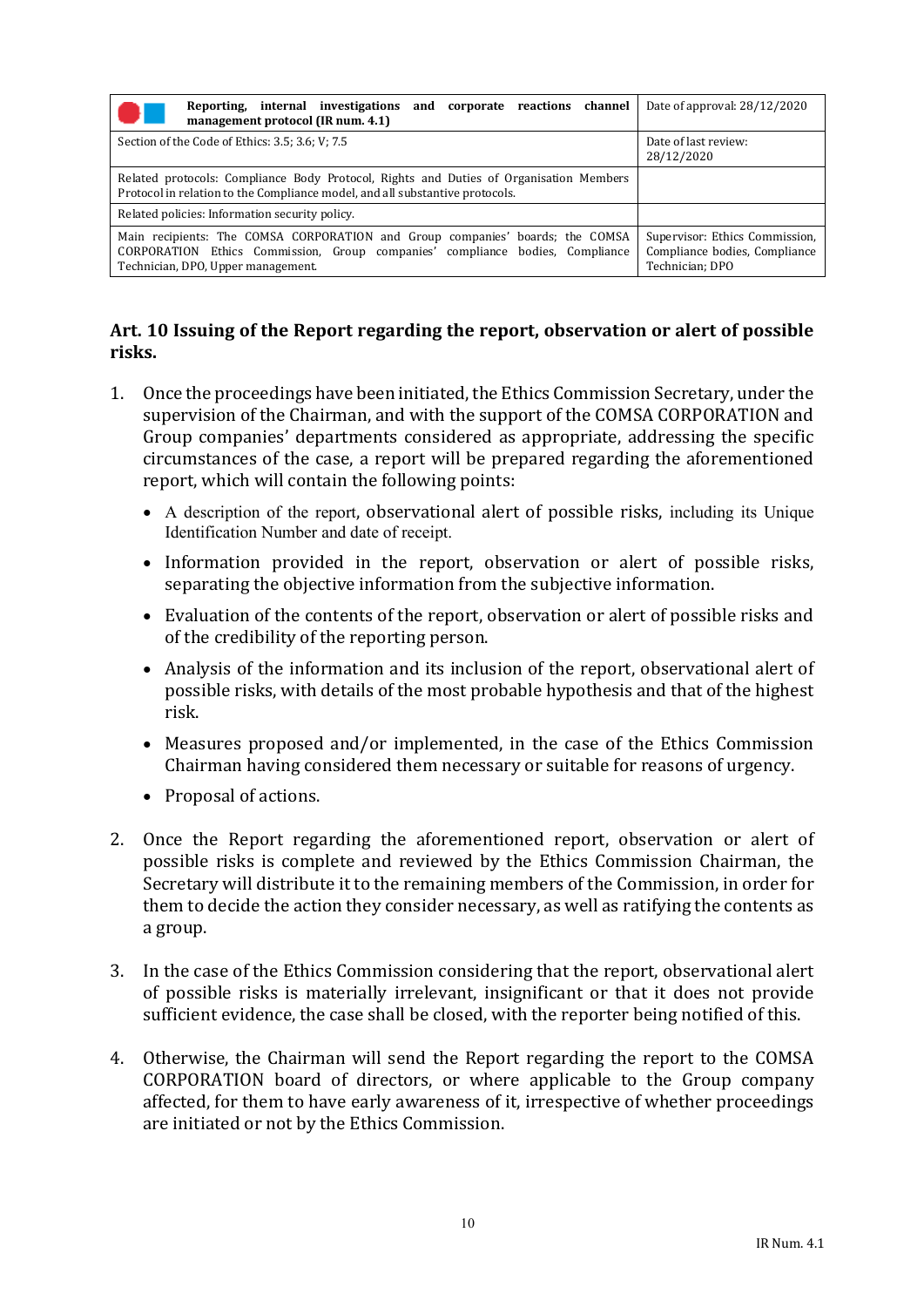| Reporting, internal investigations and corporate reactions channel<br>management protocol (IR num. 4.1)                                                                                              | Date of approval: 28/12/2020                                                       |
|------------------------------------------------------------------------------------------------------------------------------------------------------------------------------------------------------|------------------------------------------------------------------------------------|
| Section of the Code of Ethics: 3.5; 3.6; V; 7.5                                                                                                                                                      | Date of last review:<br>28/12/2020                                                 |
| Related protocols: Compliance Body Protocol, Rights and Duties of Organisation Members<br>Protocol in relation to the Compliance model, and all substantive protocols.                               |                                                                                    |
| Related policies: Information security policy.                                                                                                                                                       |                                                                                    |
| Main recipients: The COMSA CORPORATION and Group companies' boards; the COMSA<br>CORPORATION Ethics Commission, Group companies' compliance bodies, Compliance<br>Technician, DPO, Upper management. | Supervisor: Ethics Commission,<br>Compliance bodies, Compliance<br>Technician; DPO |

### **Art. 10 Issuing of the Report regarding the report, observation or alert of possible risks.**

- 1. Once the proceedings have been initiated, the Ethics Commission Secretary, under the supervision of the Chairman, and with the support of the COMSA CORPORATION and Group companies' departments considered as appropriate, addressing the specific circumstances of the case, a report will be prepared regarding the aforementioned report, which will contain the following points:
	- A description of the report, observational alert of possible risks, including its Unique Identification Number and date of receipt.
	- Information provided in the report, observation or alert of possible risks, separating the objective information from the subjective information.
	- Evaluation of the contents of the report, observation or alert of possible risks and of the credibility of the reporting person.
	- Analysis of the information and its inclusion of the report, observational alert of possible risks, with details of the most probable hypothesis and that of the highest risk.
	- Measures proposed and/or implemented, in the case of the Ethics Commission Chairman having considered them necessary or suitable for reasons of urgency.
	- Proposal of actions.
- 2. Once the Report regarding the aforementioned report, observation or alert of possible risks is complete and reviewed by the Ethics Commission Chairman, the Secretary will distribute it to the remaining members of the Commission, in order for them to decide the action they consider necessary, as well as ratifying the contents as a group.
- 3. In the case of the Ethics Commission considering that the report, observational alert of possible risks is materially irrelevant, insignificant or that it does not provide sufficient evidence, the case shall be closed, with the reporter being notified of this.
- 4. Otherwise, the Chairman will send the Report regarding the report to the COMSA CORPORATION board of directors, or where applicable to the Group company affected, for them to have early awareness of it, irrespective of whether proceedings are initiated or not by the Ethics Commission.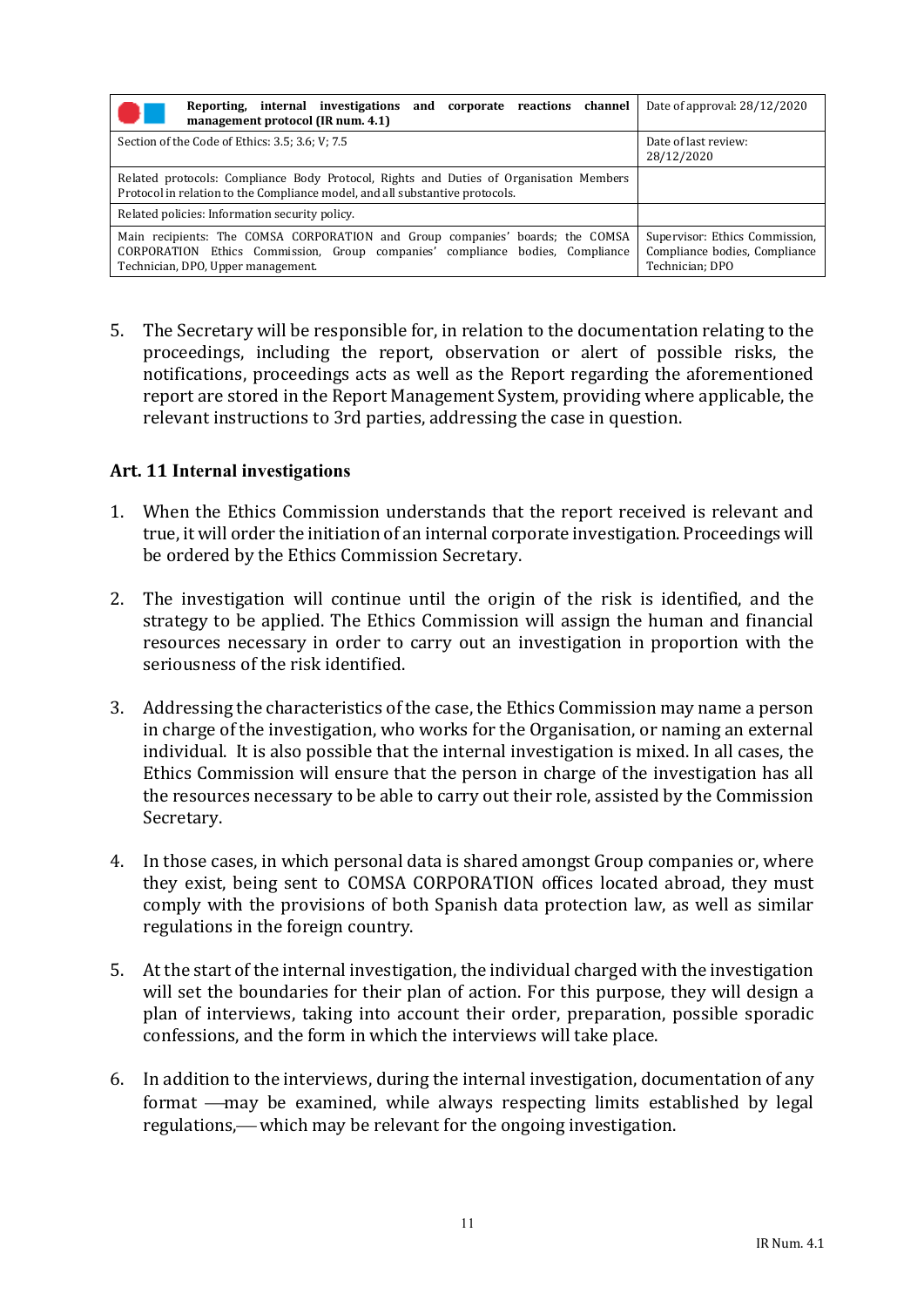| Reporting, internal investigations and corporate reactions channel<br>management protocol (IR num. 4.1)                                                                                              | Date of approval: 28/12/2020                                                       |
|------------------------------------------------------------------------------------------------------------------------------------------------------------------------------------------------------|------------------------------------------------------------------------------------|
| Section of the Code of Ethics: 3.5; 3.6; V; 7.5                                                                                                                                                      | Date of last review:<br>28/12/2020                                                 |
| Related protocols: Compliance Body Protocol, Rights and Duties of Organisation Members<br>Protocol in relation to the Compliance model, and all substantive protocols.                               |                                                                                    |
| Related policies: Information security policy.                                                                                                                                                       |                                                                                    |
| Main recipients: The COMSA CORPORATION and Group companies' boards; the COMSA<br>CORPORATION Ethics Commission, Group companies' compliance bodies, Compliance<br>Technician, DPO, Upper management. | Supervisor: Ethics Commission,<br>Compliance bodies, Compliance<br>Technician; DPO |

5. The Secretary will be responsible for, in relation to the documentation relating to the proceedings, including the report, observation or alert of possible risks, the notifications, proceedings acts as well as the Report regarding the aforementioned report are stored in the Report Management System, providing where applicable, the relevant instructions to 3rd parties, addressing the case in question.

#### **Art. 11 Internal investigations**

- 1. When the Ethics Commission understands that the report received is relevant and true, it will order the initiation of an internal corporate investigation. Proceedings will be ordered by the Ethics Commission Secretary.
- 2. The investigation will continue until the origin of the risk is identified, and the strategy to be applied. The Ethics Commission will assign the human and financial resources necessary in order to carry out an investigation in proportion with the seriousness of the risk identified.
- 3. Addressing the characteristics of the case, the Ethics Commission may name a person in charge of the investigation, who works for the Organisation, or naming an external individual. It is also possible that the internal investigation is mixed. In all cases, the Ethics Commission will ensure that the person in charge of the investigation has all the resources necessary to be able to carry out their role, assisted by the Commission Secretary.
- 4. In those cases, in which personal data is shared amongst Group companies or, where they exist, being sent to COMSA CORPORATION offices located abroad, they must comply with the provisions of both Spanish data protection law, as well as similar regulations in the foreign country.
- 5. At the start of the internal investigation, the individual charged with the investigation will set the boundaries for their plan of action. For this purpose, they will design a plan of interviews, taking into account their order, preparation, possible sporadic confessions, and the form in which the interviews will take place.
- 6. In addition to the interviews, during the internal investigation, documentation of any format - may be examined, while always respecting limits established by legal regulations,— which may be relevant for the ongoing investigation.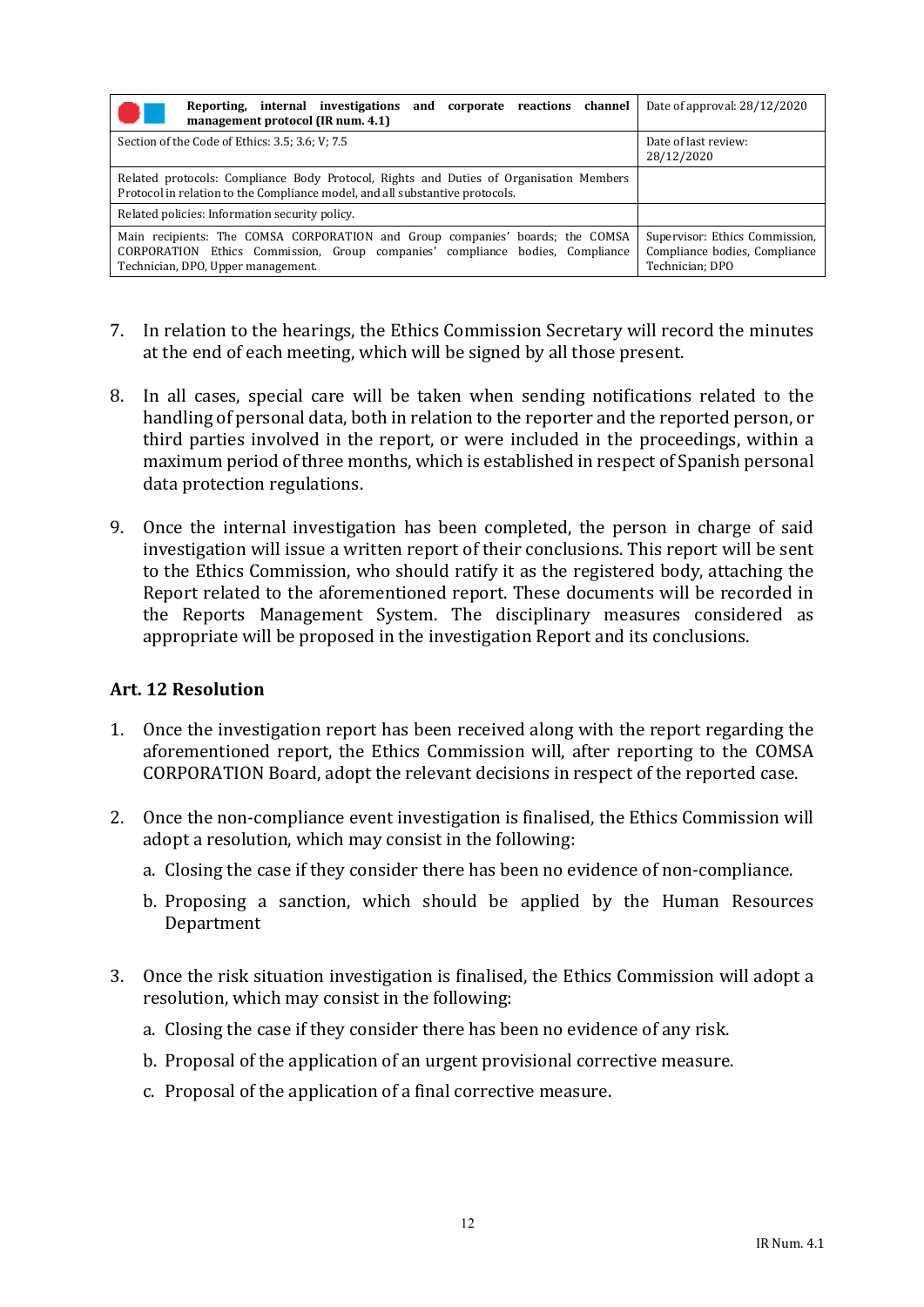| Reporting, internal investigations and corporate reactions channel<br>management protocol (IR num. 4.1)                                                                                              | Date of approval: 28/12/2020                                                       |  |  |
|------------------------------------------------------------------------------------------------------------------------------------------------------------------------------------------------------|------------------------------------------------------------------------------------|--|--|
| Section of the Code of Ethics: 3.5; 3.6; V; 7.5                                                                                                                                                      | Date of last review:<br>28/12/2020                                                 |  |  |
| Related protocols: Compliance Body Protocol, Rights and Duties of Organisation Members<br>Protocol in relation to the Compliance model, and all substantive protocols.                               |                                                                                    |  |  |
| Related policies: Information security policy.                                                                                                                                                       |                                                                                    |  |  |
| Main recipients: The COMSA CORPORATION and Group companies' boards; the COMSA<br>CORPORATION Ethics Commission, Group companies' compliance bodies, Compliance<br>Technician, DPO, Upper management. | Supervisor: Ethics Commission.<br>Compliance bodies, Compliance<br>Technician; DPO |  |  |

- 7. In relation to the hearings, the Ethics Commission Secretary will record the minutes at the end of each meeting, which will be signed by all those present.
- 8. In all cases, special care will be taken when sending notifications related to the handling of personal data, both in relation to the reporter and the reported person, or third parties involved in the report, or were included in the proceedings, within a maximum period of three months, which is established in respect of Spanish personal data protection regulations.
- 9. Once the internal investigation has been completed, the person in charge of said investigation will issue a written report of their conclusions. This report will be sent to the Ethics Commission, who should ratify it as the registered body, attaching the Report related to the aforementioned report. These documents will be recorded in the Reports Management System. The disciplinary measures considered as appropriate will be proposed in the investigation Report and its conclusions.

#### **Art. 12 Resolution**

- 1. Once the investigation report has been received along with the report regarding the aforementioned report, the Ethics Commission will, after reporting to the COMSA CORPORATION Board, adopt the relevant decisions in respect of the reported case.
- 2. Once the non-compliance event investigation is finalised, the Ethics Commission will adopt a resolution, which may consist in the following:
	- a. Closing the case if they consider there has been no evidence of non-compliance.
	- b. Proposing a sanction, which should be applied by the Human Resources Department
- 3. Once the risk situation investigation is finalised, the Ethics Commission will adopt a resolution, which may consist in the following:
	- a. Closing the case if they consider there has been no evidence of any risk.
	- b. Proposal of the application of an urgent provisional corrective measure.
	- c. Proposal of the application of a final corrective measure.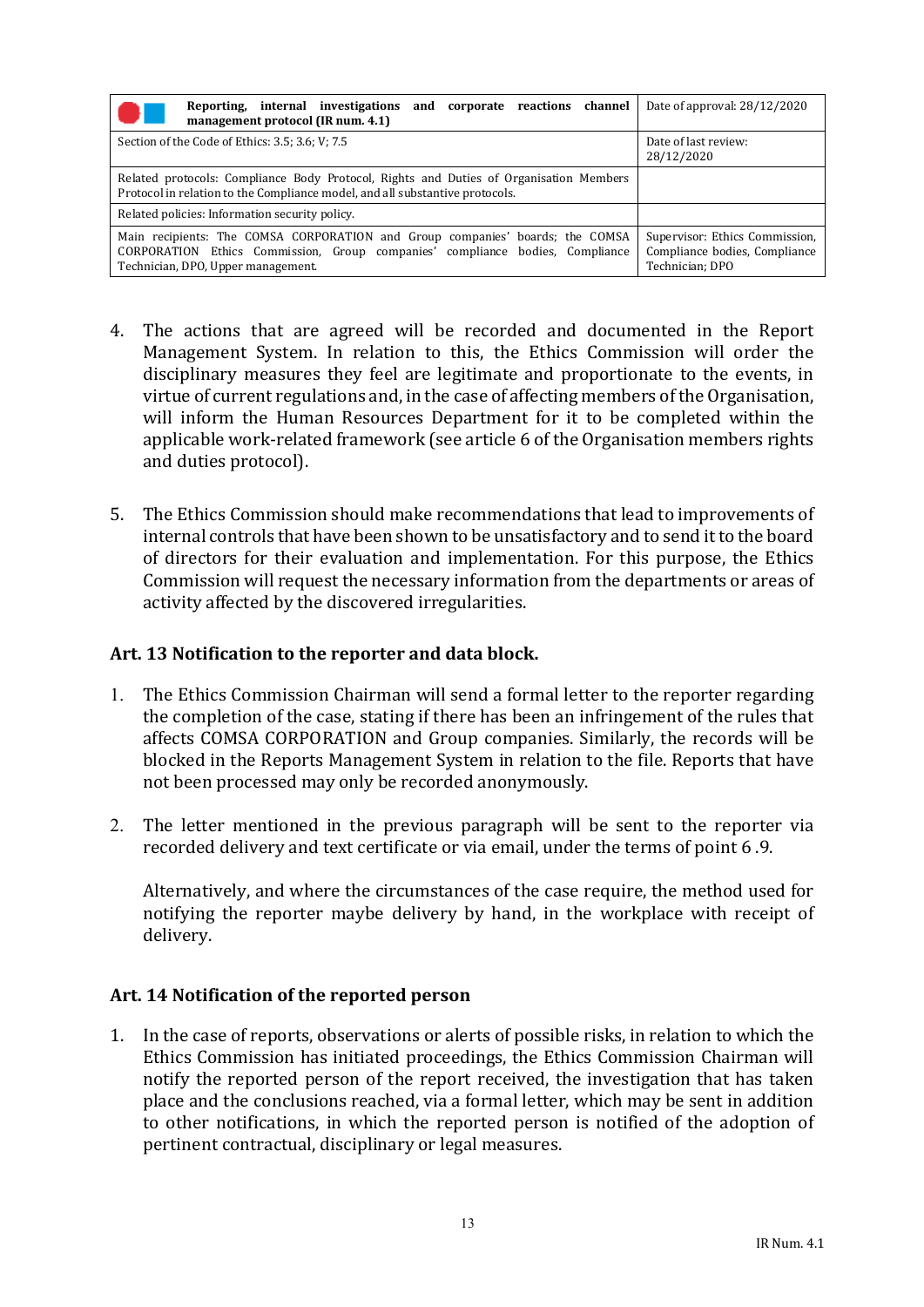| Reporting, internal investigations and corporate reactions channel<br>management protocol (IR num. 4.1)                                                                                              | Date of approval: 28/12/2020                                                       |  |  |
|------------------------------------------------------------------------------------------------------------------------------------------------------------------------------------------------------|------------------------------------------------------------------------------------|--|--|
| Section of the Code of Ethics: 3.5; 3.6; V; 7.5                                                                                                                                                      | Date of last review:<br>28/12/2020                                                 |  |  |
| Related protocols: Compliance Body Protocol, Rights and Duties of Organisation Members<br>Protocol in relation to the Compliance model, and all substantive protocols.                               |                                                                                    |  |  |
| Related policies: Information security policy.                                                                                                                                                       |                                                                                    |  |  |
| Main recipients: The COMSA CORPORATION and Group companies' boards; the COMSA<br>CORPORATION Ethics Commission, Group companies' compliance bodies, Compliance<br>Technician, DPO, Upper management. | Supervisor: Ethics Commission.<br>Compliance bodies, Compliance<br>Technician; DPO |  |  |

- 4. The actions that are agreed will be recorded and documented in the Report Management System. In relation to this, the Ethics Commission will order the disciplinary measures they feel are legitimate and proportionate to the events, in virtue of current regulations and, in the case of affecting members of the Organisation, will inform the Human Resources Department for it to be completed within the applicable work-related framework (see article 6 of the Organisation members rights and duties protocol).
- 5. The Ethics Commission should make recommendations that lead to improvements of internal controls that have been shown to be unsatisfactory and to send it to the board of directors for their evaluation and implementation. For this purpose, the Ethics Commission will request the necessary information from the departments or areas of activity affected by the discovered irregularities.

#### **Art. 13 Notification to the reporter and data block.**

- 1. The Ethics Commission Chairman will send a formal letter to the reporter regarding the completion of the case, stating if there has been an infringement of the rules that affects COMSA CORPORATION and Group companies. Similarly, the records will be blocked in the Reports Management System in relation to the file. Reports that have not been processed may only be recorded anonymously.
- 2. The letter mentioned in the previous paragraph will be sent to the reporter via recorded delivery and text certificate or via email, under the terms of point 6 .9.

Alternatively, and where the circumstances of the case require, the method used for notifying the reporter maybe delivery by hand, in the workplace with receipt of delivery.

#### **Art. 14 Notification of the reported person**

1. In the case of reports, observations or alerts of possible risks, in relation to which the Ethics Commission has initiated proceedings, the Ethics Commission Chairman will notify the reported person of the report received, the investigation that has taken place and the conclusions reached, via a formal letter, which may be sent in addition to other notifications, in which the reported person is notified of the adoption of pertinent contractual, disciplinary or legal measures.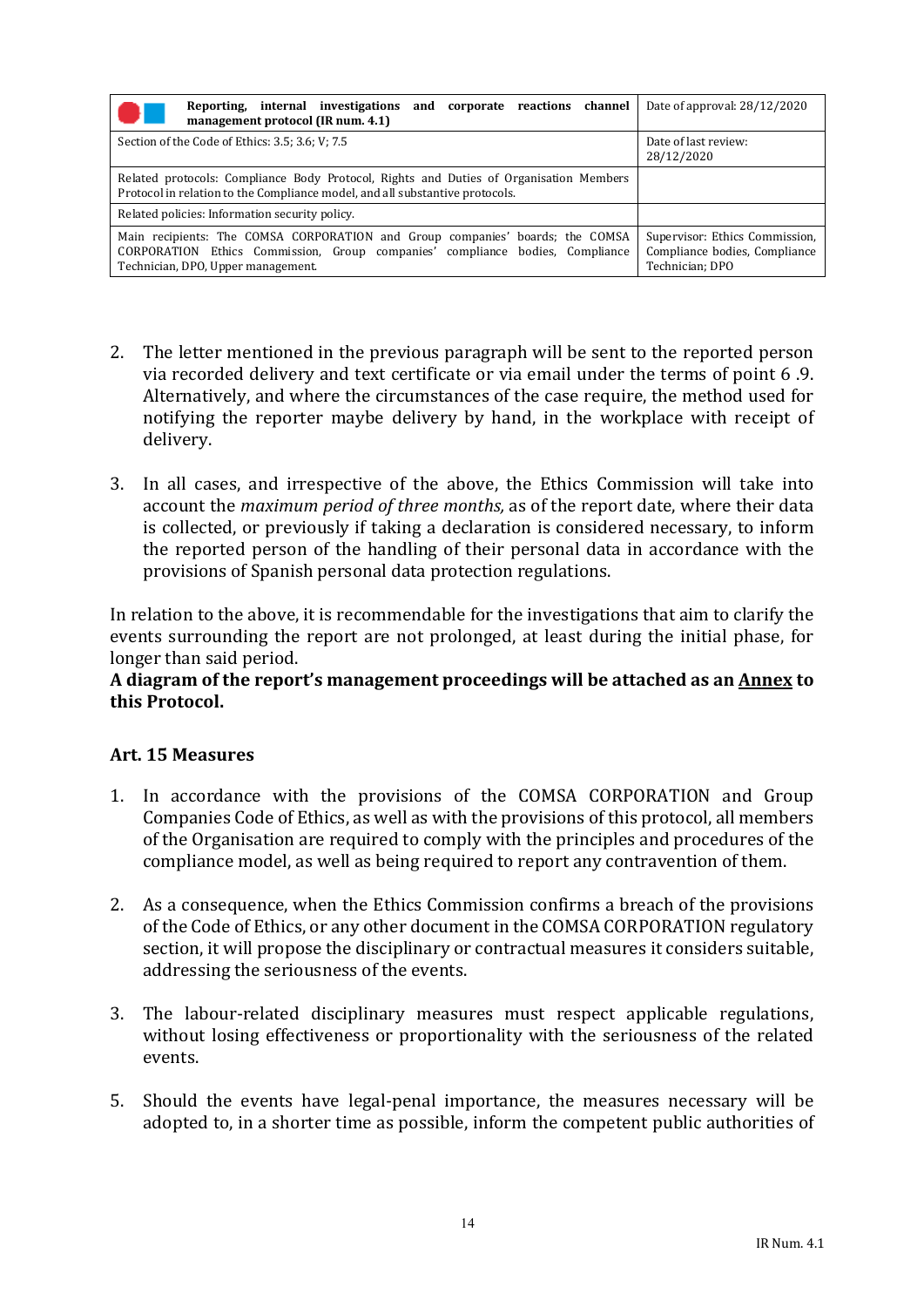| and corporate reactions channel<br>Reporting, internal investigations<br>management protocol (IR num. 4.1)                                                                                           | Date of approval: 28/12/2020                                                       |  |  |
|------------------------------------------------------------------------------------------------------------------------------------------------------------------------------------------------------|------------------------------------------------------------------------------------|--|--|
| Section of the Code of Ethics: 3.5; 3.6; V; 7.5                                                                                                                                                      | Date of last review:<br>28/12/2020                                                 |  |  |
| Related protocols: Compliance Body Protocol, Rights and Duties of Organisation Members<br>Protocol in relation to the Compliance model, and all substantive protocols.                               |                                                                                    |  |  |
| Related policies: Information security policy.                                                                                                                                                       |                                                                                    |  |  |
| Main recipients: The COMSA CORPORATION and Group companies' boards; the COMSA<br>CORPORATION Ethics Commission, Group companies' compliance bodies, Compliance<br>Technician, DPO, Upper management. | Supervisor: Ethics Commission.<br>Compliance bodies, Compliance<br>Technician; DPO |  |  |

- 2. The letter mentioned in the previous paragraph will be sent to the reported person via recorded delivery and text certificate or via email under the terms of point 6 .9. Alternatively, and where the circumstances of the case require, the method used for notifying the reporter maybe delivery by hand, in the workplace with receipt of delivery.
- 3. In all cases, and irrespective of the above, the Ethics Commission will take into account the *maximum period of three months,* as of the report date, where their data is collected, or previously if taking a declaration is considered necessary, to inform the reported person of the handling of their personal data in accordance with the provisions of Spanish personal data protection regulations.

In relation to the above, it is recommendable for the investigations that aim to clarify the events surrounding the report are not prolonged, at least during the initial phase, for longer than said period.

**A diagram of the report's management proceedings will be attached as an Annex to this Protocol.**

#### **Art. 15 Measures**

- 1. In accordance with the provisions of the COMSA CORPORATION and Group Companies Code of Ethics, as well as with the provisions of this protocol, all members of the Organisation are required to comply with the principles and procedures of the compliance model, as well as being required to report any contravention of them.
- 2. As a consequence, when the Ethics Commission confirms a breach of the provisions of the Code of Ethics, or any other document in the COMSA CORPORATION regulatory section, it will propose the disciplinary or contractual measures it considers suitable, addressing the seriousness of the events.
- 3. The labour-related disciplinary measures must respect applicable regulations, without losing effectiveness or proportionality with the seriousness of the related events.
- 5. Should the events have legal-penal importance, the measures necessary will be adopted to, in a shorter time as possible, inform the competent public authorities of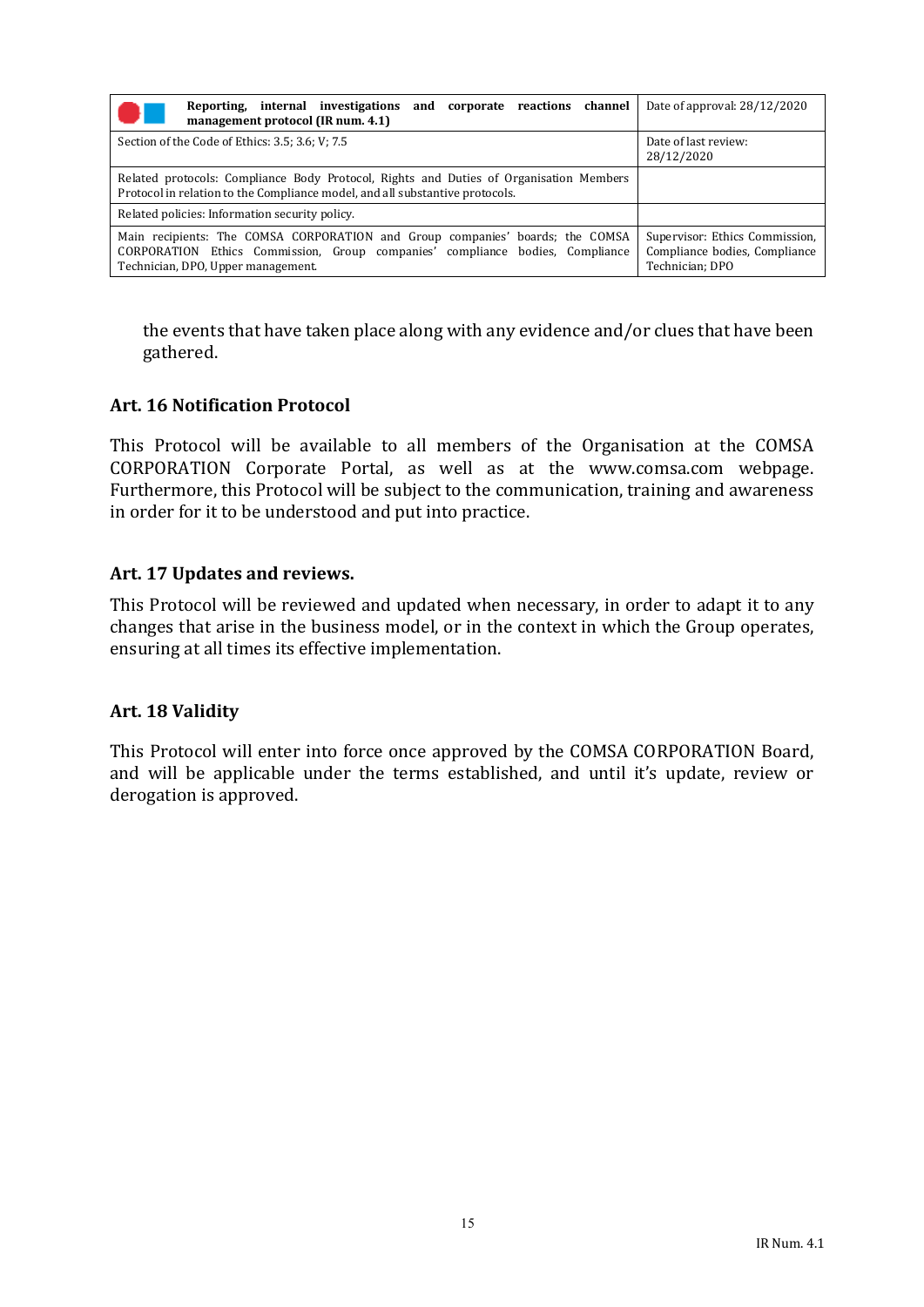| Reporting, internal investigations and corporate reactions channel<br>management protocol (IR num. 4.1)                                                                                              | Date of approval: 28/12/2020                                                       |
|------------------------------------------------------------------------------------------------------------------------------------------------------------------------------------------------------|------------------------------------------------------------------------------------|
| Section of the Code of Ethics: 3.5; 3.6; V; 7.5                                                                                                                                                      | Date of last review:<br>28/12/2020                                                 |
| Related protocols: Compliance Body Protocol, Rights and Duties of Organisation Members<br>Protocol in relation to the Compliance model, and all substantive protocols.                               |                                                                                    |
| Related policies: Information security policy.                                                                                                                                                       |                                                                                    |
| Main recipients: The COMSA CORPORATION and Group companies' boards; the COMSA<br>CORPORATION Ethics Commission, Group companies' compliance bodies, Compliance<br>Technician, DPO, Upper management. | Supervisor: Ethics Commission,<br>Compliance bodies, Compliance<br>Technician; DPO |

the events that have taken place along with any evidence and/or clues that have been gathered.

#### **Art. 16 Notification Protocol**

This Protocol will be available to all members of the Organisation at the COMSA CORPORATION Corporate Portal, as well as at the www.comsa.com webpage. Furthermore, this Protocol will be subject to the communication, training and awareness in order for it to be understood and put into practice.

#### **Art. 17 Updates and reviews.**

This Protocol will be reviewed and updated when necessary, in order to adapt it to any changes that arise in the business model, or in the context in which the Group operates, ensuring at all times its effective implementation.

#### **Art. 18 Validity**

This Protocol will enter into force once approved by the COMSA CORPORATION Board, and will be applicable under the terms established, and until it's update, review or derogation is approved.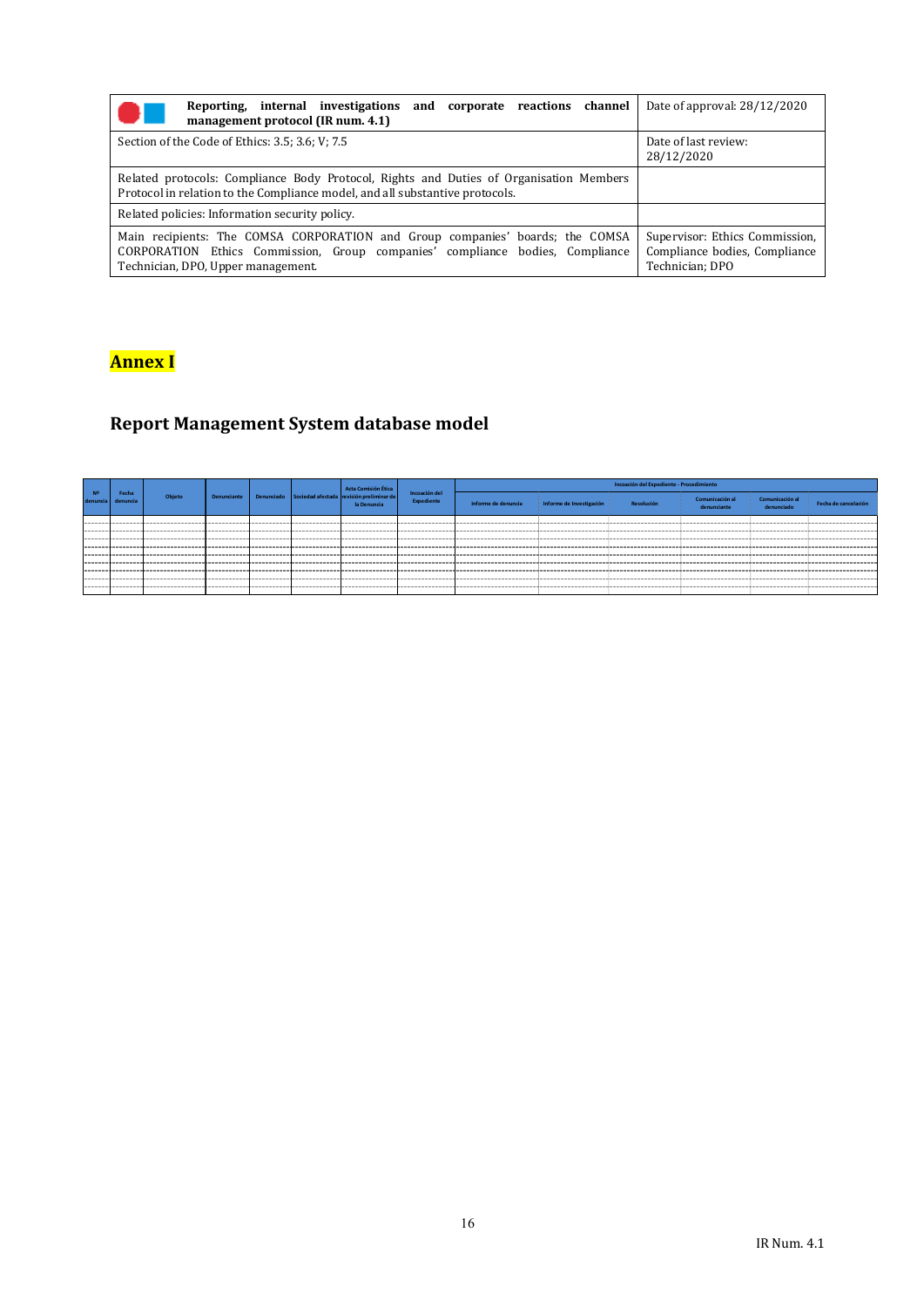| Reporting, internal investigations<br>and corporate reactions channel<br>management protocol (IR num. 4.1)                                                                                           | Date of approval: $28/12/2020$                                                     |  |  |
|------------------------------------------------------------------------------------------------------------------------------------------------------------------------------------------------------|------------------------------------------------------------------------------------|--|--|
| Section of the Code of Ethics: 3.5; 3.6; V; 7.5                                                                                                                                                      | Date of last review:<br>28/12/2020                                                 |  |  |
| Related protocols: Compliance Body Protocol, Rights and Duties of Organisation Members<br>Protocol in relation to the Compliance model, and all substantive protocols.                               |                                                                                    |  |  |
| Related policies: Information security policy.                                                                                                                                                       |                                                                                    |  |  |
| Main recipients: The COMSA CORPORATION and Group companies' boards; the COMSA<br>CORPORATION Ethics Commission, Group companies' compliance bodies, Compliance<br>Technician, DPO, Upper management. | Supervisor: Ethics Commission,<br>Compliance bodies, Compliance<br>Technician; DPO |  |  |

# **Annex I**

# **Report Management System database model**

| N <sup>2</sup><br>denuncia | Fecha<br>denuncia | Objeto | Denunciante |  | Acta Comisión Ética<br>Denunciado Sociedad afectada revisión preliminar de<br>la Denuncia | Incoación del<br>Expediente | Incoación del Expediente - Procedimiento |                          |            |                                |                               |                      |
|----------------------------|-------------------|--------|-------------|--|-------------------------------------------------------------------------------------------|-----------------------------|------------------------------------------|--------------------------|------------|--------------------------------|-------------------------------|----------------------|
|                            |                   |        |             |  |                                                                                           |                             | Informe de denuncia                      | Informe de Investigación | Resolución | Comunicación al<br>denunciante | Comunicación al<br>denunciado | Fecha de cancelación |
|                            |                   |        |             |  |                                                                                           |                             |                                          |                          |            |                                |                               |                      |
|                            |                   |        |             |  |                                                                                           |                             |                                          |                          |            |                                |                               |                      |
|                            |                   |        |             |  |                                                                                           |                             |                                          |                          |            |                                |                               |                      |
|                            |                   |        |             |  |                                                                                           |                             |                                          |                          |            |                                |                               |                      |
|                            |                   |        |             |  |                                                                                           |                             |                                          |                          |            |                                |                               |                      |
|                            |                   |        |             |  |                                                                                           |                             |                                          |                          |            |                                |                               |                      |
|                            |                   |        |             |  |                                                                                           |                             |                                          |                          |            |                                |                               |                      |
|                            |                   |        |             |  |                                                                                           |                             |                                          |                          |            |                                |                               |                      |
|                            |                   |        |             |  |                                                                                           |                             |                                          |                          |            |                                |                               |                      |
|                            |                   |        |             |  |                                                                                           |                             |                                          |                          |            |                                |                               |                      |